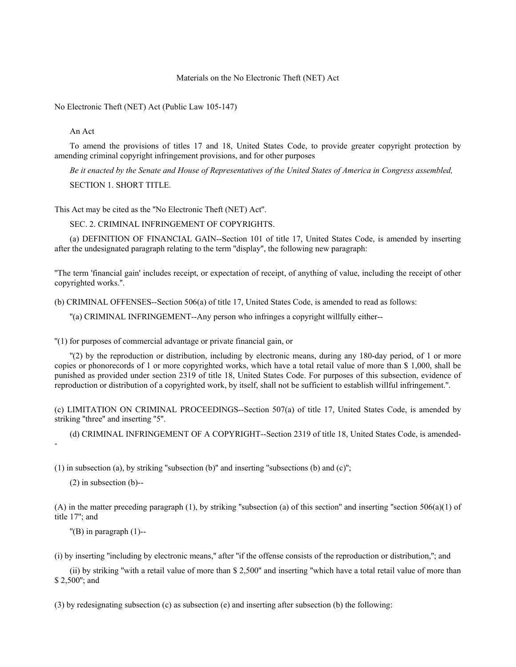## Materials on the No Electronic Theft (NET) Act

No Electronic Theft (NET) Act (Public Law 105-147)

An Act

To amend the provisions of titles 17 and 18, United States Code, to provide greater copyright protection by amending criminal copyright infringement provisions, and for other purposes

*Be it enacted by the Senate and House of Representatives of the United States of America in Congress assembled,* SECTION 1. SHORT TITLE.

This Act may be cited as the ''No Electronic Theft (NET) Act''.

SEC. 2. CRIMINAL INFRINGEMENT OF COPYRIGHTS.

(a) DEFINITION OF FINANCIAL GAIN--Section 101 of title 17, United States Code, is amended by inserting after the undesignated paragraph relating to the term ''display'', the following new paragraph:

''The term 'financial gain' includes receipt, or expectation of receipt, of anything of value, including the receipt of other copyrighted works.''.

(b) CRIMINAL OFFENSES--Section 506(a) of title 17, United States Code, is amended to read as follows:

''(a) CRIMINAL INFRINGEMENT--Any person who infringes a copyright willfully either--

''(1) for purposes of commercial advantage or private financial gain, or

''(2) by the reproduction or distribution, including by electronic means, during any 180-day period, of 1 or more copies or phonorecords of 1 or more copyrighted works, which have a total retail value of more than \$ 1,000, shall be punished as provided under section 2319 of title 18, United States Code. For purposes of this subsection, evidence of reproduction or distribution of a copyrighted work, by itself, shall not be sufficient to establish willful infringement.''.

(c) LIMITATION ON CRIMINAL PROCEEDINGS--Section 507(a) of title 17, United States Code, is amended by striking ''three'' and inserting ''5''.

(d) CRIMINAL INFRINGEMENT OF A COPYRIGHT--Section 2319 of title 18, United States Code, is amended- -

(1) in subsection (a), by striking ''subsection (b)'' and inserting ''subsections (b) and (c)'';

(2) in subsection (b)--

(A) in the matter preceding paragraph (1), by striking "subsection (a) of this section" and inserting "section 506(a)(1) of title 17''; and

 $''$ (B) in paragraph  $(1)$ --

(i) by inserting ''including by electronic means,'' after ''if the offense consists of the reproduction or distribution,''; and

(ii) by striking ''with a retail value of more than \$ 2,500'' and inserting ''which have a total retail value of more than \$ 2,500''; and

(3) by redesignating subsection (c) as subsection (e) and inserting after subsection (b) the following: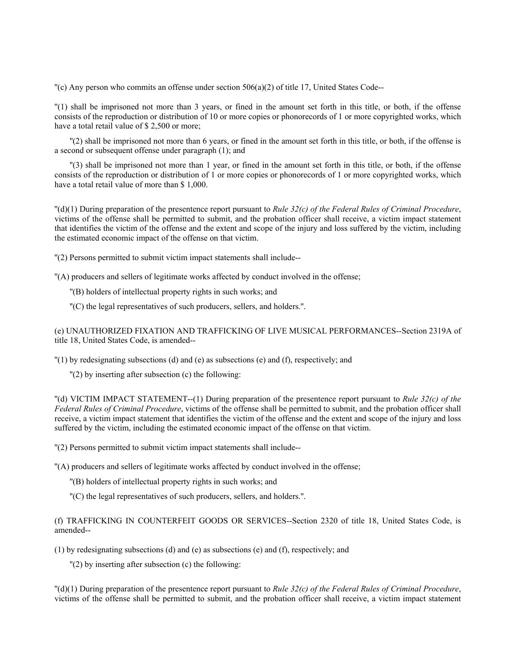$C'(\text{c})$  Any person who commits an offense under section 506(a)(2) of title 17, United States Code--

''(1) shall be imprisoned not more than 3 years, or fined in the amount set forth in this title, or both, if the offense consists of the reproduction or distribution of 10 or more copies or phonorecords of 1 or more copyrighted works, which have a total retail value of \$ 2,500 or more;

''(2) shall be imprisoned not more than 6 years, or fined in the amount set forth in this title, or both, if the offense is a second or subsequent offense under paragraph (1); and

''(3) shall be imprisoned not more than 1 year, or fined in the amount set forth in this title, or both, if the offense consists of the reproduction or distribution of 1 or more copies or phonorecords of 1 or more copyrighted works, which have a total retail value of more than \$ 1,000.

''(d)(1) During preparation of the presentence report pursuant to *Rule 32(c) of the Federal Rules of Criminal Procedure*, victims of the offense shall be permitted to submit, and the probation officer shall receive, a victim impact statement that identifies the victim of the offense and the extent and scope of the injury and loss suffered by the victim, including the estimated economic impact of the offense on that victim.

''(2) Persons permitted to submit victim impact statements shall include--

''(A) producers and sellers of legitimate works affected by conduct involved in the offense;

- ''(B) holders of intellectual property rights in such works; and
- ''(C) the legal representatives of such producers, sellers, and holders.''.

(e) UNAUTHORIZED FIXATION AND TRAFFICKING OF LIVE MUSICAL PERFORMANCES--Section 2319A of title 18, United States Code, is amended--

''(1) by redesignating subsections (d) and (e) as subsections (e) and (f), respectively; and

''(2) by inserting after subsection (c) the following:

''(d) VICTIM IMPACT STATEMENT--(1) During preparation of the presentence report pursuant to *Rule 32(c) of the Federal Rules of Criminal Procedure*, victims of the offense shall be permitted to submit, and the probation officer shall receive, a victim impact statement that identifies the victim of the offense and the extent and scope of the injury and loss suffered by the victim, including the estimated economic impact of the offense on that victim.

''(2) Persons permitted to submit victim impact statements shall include--

''(A) producers and sellers of legitimate works affected by conduct involved in the offense;

- ''(B) holders of intellectual property rights in such works; and
- ''(C) the legal representatives of such producers, sellers, and holders.''.

(f) TRAFFICKING IN COUNTERFEIT GOODS OR SERVICES--Section 2320 of title 18, United States Code, is amended--

(1) by redesignating subsections (d) and (e) as subsections (e) and (f), respectively; and

''(2) by inserting after subsection (c) the following:

''(d)(1) During preparation of the presentence report pursuant to *Rule 32(c) of the Federal Rules of Criminal Procedure*, victims of the offense shall be permitted to submit, and the probation officer shall receive, a victim impact statement